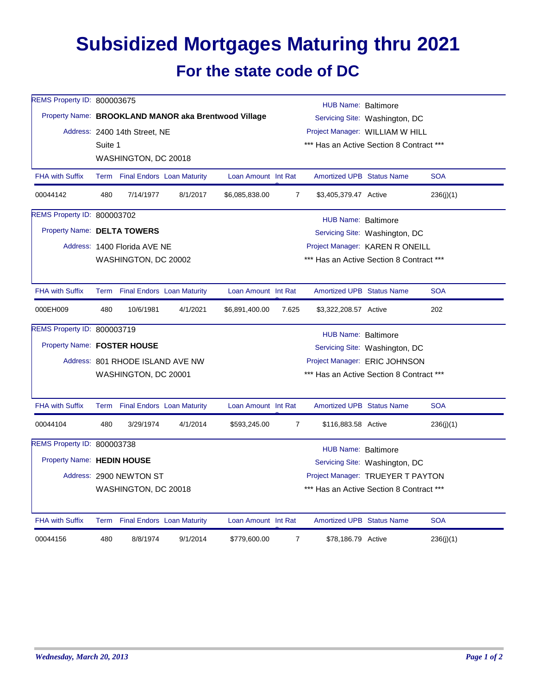## **Subsidized Mortgages Maturing thru 2021 For the state code of DC**

| REMS Property ID: 800003675        |                                                               |                                  |          |                                                      |                                                                             | <b>HUB Name: Baltimore</b>               |                                          |            |  |  |  |
|------------------------------------|---------------------------------------------------------------|----------------------------------|----------|------------------------------------------------------|-----------------------------------------------------------------------------|------------------------------------------|------------------------------------------|------------|--|--|--|
|                                    |                                                               |                                  |          | Property Name: BROOKLAND MANOR aka Brentwood Village | Servicing Site: Washington, DC                                              |                                          |                                          |            |  |  |  |
|                                    |                                                               | Address: 2400 14th Street, NE    |          |                                                      |                                                                             |                                          |                                          |            |  |  |  |
|                                    | Suite 1                                                       |                                  |          |                                                      | Project Manager: WILLIAM W HILL<br>*** Has an Active Section 8 Contract *** |                                          |                                          |            |  |  |  |
|                                    |                                                               | WASHINGTON, DC 20018             |          |                                                      |                                                                             |                                          |                                          |            |  |  |  |
| <b>FHA with Suffix</b>             |                                                               | Term Final Endors Loan Maturity  |          | Loan Amount Int Rat                                  |                                                                             | <b>Amortized UPB Status Name</b>         |                                          | <b>SOA</b> |  |  |  |
| 00044142                           | 480                                                           | 7/14/1977                        | 8/1/2017 | \$6,085,838.00                                       | $\overline{7}$                                                              | \$3,405,379.47 Active                    |                                          | 236(j)(1)  |  |  |  |
| <b>REMS Property ID: 800003702</b> | HUB Name: Baltimore                                           |                                  |          |                                                      |                                                                             |                                          |                                          |            |  |  |  |
| Property Name: DELTA TOWERS        |                                                               |                                  |          |                                                      |                                                                             | Servicing Site: Washington, DC           |                                          |            |  |  |  |
|                                    |                                                               | Address: 1400 Florida AVE NE     |          |                                                      |                                                                             |                                          | Project Manager: KAREN R ONEILL          |            |  |  |  |
|                                    |                                                               | WASHINGTON, DC 20002             |          |                                                      |                                                                             | *** Has an Active Section 8 Contract *** |                                          |            |  |  |  |
| <b>FHA with Suffix</b>             |                                                               | Term Final Endors Loan Maturity  |          | Loan Amount Int Rat                                  |                                                                             | <b>Amortized UPB Status Name</b>         |                                          | <b>SOA</b> |  |  |  |
| 000EH009                           | 480                                                           | 10/6/1981                        | 4/1/2021 | \$6,891,400.00                                       | 7.625                                                                       | \$3,322,208.57 Active                    |                                          | 202        |  |  |  |
| <b>REMS Property ID: 800003719</b> | HUB Name: Baltimore                                           |                                  |          |                                                      |                                                                             |                                          |                                          |            |  |  |  |
|                                    | Property Name: FOSTER HOUSE<br>Servicing Site: Washington, DC |                                  |          |                                                      |                                                                             |                                          |                                          |            |  |  |  |
|                                    |                                                               | Address: 801 RHODE ISLAND AVE NW |          | Project Manager: ERIC JOHNSON                        |                                                                             |                                          |                                          |            |  |  |  |
|                                    |                                                               | WASHINGTON, DC 20001             |          |                                                      | *** Has an Active Section 8 Contract ***                                    |                                          |                                          |            |  |  |  |
| <b>FHA with Suffix</b>             |                                                               | Term Final Endors Loan Maturity  |          | Loan Amount Int Rat                                  |                                                                             | <b>Amortized UPB Status Name</b>         |                                          | <b>SOA</b> |  |  |  |
| 00044104                           | 480                                                           | 3/29/1974                        | 4/1/2014 | \$593,245.00                                         | $\overline{7}$                                                              | \$116,883.58 Active                      |                                          | 236(i)(1)  |  |  |  |
| <b>REMS Property ID: 800003738</b> | HUB Name: Baltimore                                           |                                  |          |                                                      |                                                                             |                                          |                                          |            |  |  |  |
| Property Name: HEDIN HOUSE         |                                                               |                                  |          |                                                      | Servicing Site: Washington, DC                                              |                                          |                                          |            |  |  |  |
|                                    |                                                               | Address: 2900 NEWTON ST          |          |                                                      |                                                                             | Project Manager: TRUEYER T PAYTON        |                                          |            |  |  |  |
|                                    |                                                               | WASHINGTON, DC 20018             |          |                                                      |                                                                             |                                          | *** Has an Active Section 8 Contract *** |            |  |  |  |
| <b>FHA with Suffix</b>             |                                                               | Term Final Endors Loan Maturity  |          | Loan Amount Int Rat                                  |                                                                             | <b>Amortized UPB Status Name</b>         |                                          | <b>SOA</b> |  |  |  |
| 00044156                           | 480                                                           | 8/8/1974                         | 9/1/2014 | \$779,600.00                                         | $\overline{7}$                                                              | \$78,186.79 Active                       |                                          | 236(j)(1)  |  |  |  |